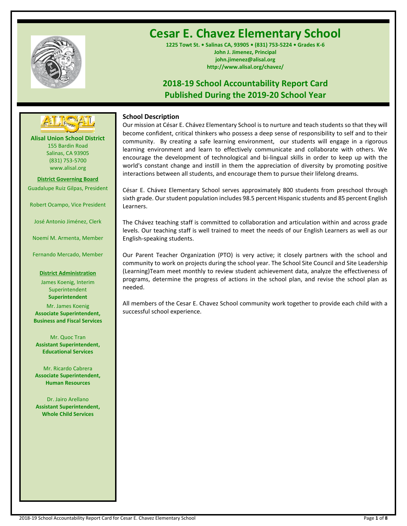

# **Cesar E. Chavez Elementary School**

**1225 Towt St. • Salinas CA, 93905 • (831) 753-5224 • Grades K-6 John J. Jimenez, Principal john.jimenez@alisal.org http://www.alisal.org/chavez/**

## **2018-19 School Accountability Report Card Published During the 2019-20 School Year**



**Alisal Union School District** 155 Bardin Road Salinas, CA 93905 (831) 753-5700 www.alisal.org

**District Governing Board** Guadalupe Ruiz Gilpas, President

Robert Ocampo, Vice President

José Antonio Jiménez, Clerk

Noemí M. Armenta, Member

Fernando Mercado, Member

### **District Administration**

James Koenig, Interim Superintendent **Superintendent**

Mr. James Koenig **Associate Superintendent, Business and Fiscal Services**

Mr. Quoc Tran **Assistant Superintendent, Educational Services**

Mr. Ricardo Cabrera **Associate Superintendent, Human Resources**

Dr. Jairo Arellano **Assistant Superintendent, Whole Child Services**

## **School Description**

Our mission at César E. Chávez Elementary School is to nurture and teach students so that they will become confident, critical thinkers who possess a deep sense of responsibility to self and to their community. By creating a safe learning environment, our students will engage in a rigorous learning environment and learn to effectively communicate and collaborate with others. We encourage the development of technological and bi-lingual skills in order to keep up with the world's constant change and instill in them the appreciation of diversity by promoting positive interactions between all students, and encourage them to pursue their lifelong dreams.

César E. Chávez Elementary School serves approximately 800 students from preschool through sixth grade. Our student population includes 98.5 percent Hispanic students and 85 percent English Learners.

The Chávez teaching staff is committed to collaboration and articulation within and across grade levels. Our teaching staff is well trained to meet the needs of our English Learners as well as our English-speaking students.

Our Parent Teacher Organization (PTO) is very active; it closely partners with the school and community to work on projects during the school year. The School Site Council and Site Leadership (Learning)Team meet monthly to review student achievement data, analyze the effectiveness of programs, determine the progress of actions in the school plan, and revise the school plan as needed.

All members of the Cesar E. Chavez School community work together to provide each child with a successful school experience.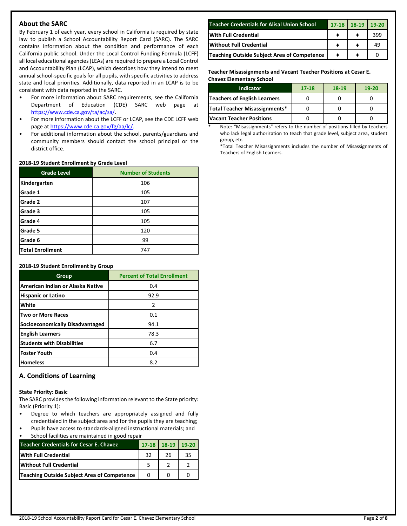## **About the SARC**

By February 1 of each year, every school in California is required by state law to publish a School Accountability Report Card (SARC). The SARC contains information about the condition and performance of each California public school. Under the Local Control Funding Formula (LCFF) all local educational agencies (LEAs) are required to prepare a Local Control and Accountability Plan (LCAP), which describes how they intend to meet annual school-specific goals for all pupils, with specific activities to address state and local priorities. Additionally, data reported in an LCAP is to be consistent with data reported in the SARC.

- For more information about SARC requirements, see the California Department of Education (CDE) SARC web page at [https://www.cde.ca.gov/ta/ac/sa/.](https://www.cde.ca.gov/ta/ac/sa/)
- For more information about the LCFF or LCAP, see the CDE LCFF web page at [https://www.cde.ca.gov/fg/aa/lc/.](https://www.cde.ca.gov/fg/aa/lc/)
- For additional information about the school, parents/guardians and community members should contact the school principal or the district office.

### **2018-19 Student Enrollment by Grade Level**

| <b>Grade Level</b>      | <b>Number of Students</b> |
|-------------------------|---------------------------|
| Kindergarten            | 106                       |
| Grade 1                 | 105                       |
| Grade 2                 | 107                       |
| Grade 3                 | 105                       |
| Grade 4                 | 105                       |
| Grade 5                 | 120                       |
| Grade 6                 | 99                        |
| <b>Total Enrollment</b> | 747                       |

### **2018-19 Student Enrollment by Group**

| Group                             | <b>Percent of Total Enrollment</b> |
|-----------------------------------|------------------------------------|
| American Indian or Alaska Native  | 0.4                                |
| <b>Hispanic or Latino</b>         | 92.9                               |
| White                             | 2                                  |
| <b>Two or More Races</b>          | 0.1                                |
| Socioeconomically Disadvantaged   | 94.1                               |
| <b>English Learners</b>           | 78.3                               |
| <b>Students with Disabilities</b> | 6.7                                |
| Foster Youth                      | 0.4                                |
| <b>Homeless</b>                   | 8.2                                |

## **A. Conditions of Learning**

### **State Priority: Basic**

The SARC provides the following information relevant to the State priority: Basic (Priority 1):

- Degree to which teachers are appropriately assigned and fully credentialed in the subject area and for the pupils they are teaching; • Pupils have access to standards-aligned instructional materials; and
- School facilities are maintained in good repair

| Teacher Credentials for Cesar E. Chavez     |    | $17-18$ 18-19 | $19-20$ |
|---------------------------------------------|----|---------------|---------|
| <b>With Full Credential</b>                 | 32 | 26            | 35      |
| <b>Without Full Credential</b>              |    |               |         |
| Teaching Outside Subject Area of Competence |    |               |         |

| <b>Teacher Credentials for Alisal Union School</b> | $17 - 18$ | 18-19 | $19-20$ |
|----------------------------------------------------|-----------|-------|---------|
| <b>With Full Credential</b>                        |           |       | 399     |
| <b>Without Full Credential</b>                     |           |       | 49      |
| Teaching Outside Subject Area of Competence        |           |       |         |

**Teacher Misassignments and Vacant Teacher Positions at Cesar E. Chavez Elementary School**

| <b>Indicator</b>                | $17 - 18$ | $18-19$ | $19-20$ |
|---------------------------------|-----------|---------|---------|
| Teachers of English Learners    |           |         |         |
| Total Teacher Misassignments*   |           |         |         |
| <b>Vacant Teacher Positions</b> |           |         |         |

Note: "Misassignments" refers to the number of positions filled by teachers who lack legal authorization to teach that grade level, subject area, student group, etc.

\*Total Teacher Misassignments includes the number of Misassignments of Teachers of English Learners.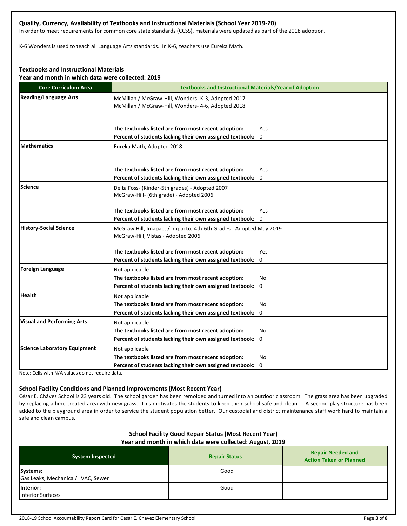## **Quality, Currency, Availability of Textbooks and Instructional Materials (School Year 2019-20)**

In order to meet requirements for common core state standards (CCSS), materials were updated as part of the 2018 adoption.

K-6 Wonders is used to teach all Language Arts standards. In K-6, teachers use Eureka Math.

### **Textbooks and Instructional Materials**

**Year and month in which data were collected: 2019**

| <b>Core Curriculum Area</b>         | <b>Textbooks and Instructional Materials/Year of Adoption</b>                                            |  |  |  |
|-------------------------------------|----------------------------------------------------------------------------------------------------------|--|--|--|
| <b>Reading/Language Arts</b>        | McMillan / McGraw-Hill, Wonders- K-3, Adopted 2017<br>McMillan / McGraw-Hill, Wonders- 4-6, Adopted 2018 |  |  |  |
|                                     | The textbooks listed are from most recent adoption:<br>Yes                                               |  |  |  |
|                                     | Percent of students lacking their own assigned textbook: 0                                               |  |  |  |
| <b>Mathematics</b>                  | Eureka Math, Adopted 2018                                                                                |  |  |  |
|                                     | The textbooks listed are from most recent adoption:<br>Yes                                               |  |  |  |
|                                     | Percent of students lacking their own assigned textbook: 0                                               |  |  |  |
| Science                             | Delta Foss- (Kinder-5th grades) - Adopted 2007<br>McGraw-Hill- (6th grade) - Adopted 2006                |  |  |  |
|                                     | The textbooks listed are from most recent adoption:<br>Yes                                               |  |  |  |
|                                     | Percent of students lacking their own assigned textbook: 0                                               |  |  |  |
| <b>History-Social Science</b>       | McGraw Hill, Imapact / Impacto, 4th-6th Grades - Adopted May 2019<br>McGraw-Hill, Vistas - Adopted 2006  |  |  |  |
|                                     | The textbooks listed are from most recent adoption:<br>Yes                                               |  |  |  |
|                                     | Percent of students lacking their own assigned textbook: 0                                               |  |  |  |
| Foreign Language                    | Not applicable                                                                                           |  |  |  |
|                                     | The textbooks listed are from most recent adoption:<br>No                                                |  |  |  |
|                                     | Percent of students lacking their own assigned textbook: 0                                               |  |  |  |
| <b>Health</b>                       | Not applicable                                                                                           |  |  |  |
|                                     | The textbooks listed are from most recent adoption:<br>No                                                |  |  |  |
|                                     | Percent of students lacking their own assigned textbook:<br>0                                            |  |  |  |
| <b>Visual and Performing Arts</b>   | Not applicable                                                                                           |  |  |  |
|                                     | The textbooks listed are from most recent adoption:<br>No                                                |  |  |  |
|                                     | Percent of students lacking their own assigned textbook: 0                                               |  |  |  |
| <b>Science Laboratory Equipment</b> | Not applicable                                                                                           |  |  |  |
|                                     | The textbooks listed are from most recent adoption:<br>No                                                |  |  |  |
|                                     | Percent of students lacking their own assigned textbook: 0                                               |  |  |  |

Note: Cells with N/A values do not require data.

### **School Facility Conditions and Planned Improvements (Most Recent Year)**

César E. Chávez School is 23 years old. The school garden has been remolded and turned into an outdoor classroom. The grass area has been upgraded by replacing a lime-treated area with new grass. This motivates the students to keep their school safe and clean. A second play structure has been added to the playground area in order to service the student population better. Our custodial and district maintenance staff work hard to maintain a safe and clean campus.

### **School Facility Good Repair Status (Most Recent Year)**

**Year and month in which data were collected: August, 2019**

| <b>System Inspected</b>                       | <b>Repair Status</b> | <b>Repair Needed and</b><br><b>Action Taken or Planned</b> |
|-----------------------------------------------|----------------------|------------------------------------------------------------|
| Systems:<br>Gas Leaks, Mechanical/HVAC, Sewer | Good                 |                                                            |
| linterior:<br><b>Interior Surfaces</b>        | Good                 |                                                            |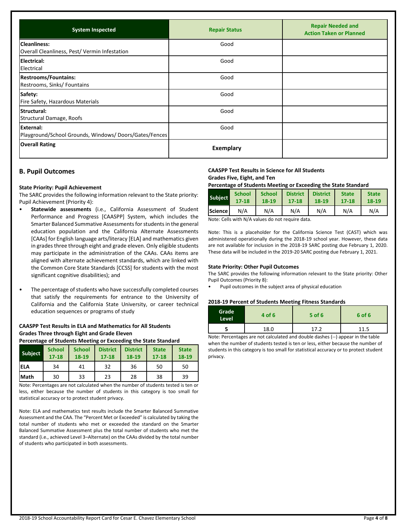| <b>System Inspected</b>                                             | <b>Repair Status</b> | <b>Repair Needed and</b><br><b>Action Taken or Planned</b> |
|---------------------------------------------------------------------|----------------------|------------------------------------------------------------|
| <b>Cleanliness:</b><br>Overall Cleanliness, Pest/Vermin Infestation | Good                 |                                                            |
| Electrical:<br>Electrical                                           | Good                 |                                                            |
| <b>Restrooms/Fountains:</b><br>Restrooms, Sinks/ Fountains          | Good                 |                                                            |
| Safety:<br>Fire Safety, Hazardous Materials                         | Good                 |                                                            |
| <b>Structural:</b><br>Structural Damage, Roofs                      | Good                 |                                                            |
| External:<br>Playground/School Grounds, Windows/Doors/Gates/Fences  | Good                 |                                                            |
| <b>Overall Rating</b>                                               | <b>Exemplary</b>     |                                                            |

## **B. Pupil Outcomes**

### **State Priority: Pupil Achievement**

The SARC provides the following information relevant to the State priority: Pupil Achievement (Priority 4):

- **Statewide assessments** (i.e., California Assessment of Student Performance and Progress [CAASPP] System, which includes the Smarter Balanced Summative Assessments for students in the general education population and the California Alternate Assessments [CAAs] for English language arts/literacy [ELA] and mathematics given in grades three through eight and grade eleven. Only eligible students may participate in the administration of the CAAs. CAAs items are aligned with alternate achievement standards, which are linked with the Common Core State Standards [CCSS] for students with the most significant cognitive disabilities); and
- The percentage of students who have successfully completed courses that satisfy the requirements for entrance to the University of California and the California State University, or career technical education sequences or programs of study

### **CAASPP Test Results in ELA and Mathematics for All Students Grades Three through Eight and Grade Eleven**

**Percentage of Students Meeting or Exceeding the State Standard**

| <b>Subject</b> | <b>School</b><br>$17 - 18$ | <b>School</b><br>18-19 | <b>District</b><br>$17 - 18$ | <b>District</b><br>18-19 | <b>State</b><br>$17 - 18$ | <b>State</b><br>18-19 |
|----------------|----------------------------|------------------------|------------------------------|--------------------------|---------------------------|-----------------------|
| <b>ELA</b>     | 34                         | 41                     | 32                           | 36                       | 50                        | 50                    |
| Math           | 30                         | 33                     | 23                           | 28                       | 38                        | 39                    |

Note: Percentages are not calculated when the number of students tested is ten or less, either because the number of students in this category is too small for statistical accuracy or to protect student privacy.

Note: ELA and mathematics test results include the Smarter Balanced Summative Assessment and the CAA. The "Percent Met or Exceeded" is calculated by taking the total number of students who met or exceeded the standard on the Smarter Balanced Summative Assessment plus the total number of students who met the standard (i.e., achieved Level 3–Alternate) on the CAAs divided by the total number of students who participated in both assessments.

### **CAASPP Test Results in Science for All Students**

## **Grades Five, Eight, and Ten**

**Percentage of Students Meeting or Exceeding the State Standard**

| Subject | <b>School</b> | <b>School</b> | <b>District</b> | <b>District</b> | <b>State</b> | <b>State</b> |
|---------|---------------|---------------|-----------------|-----------------|--------------|--------------|
|         | $17 - 18$     | 18-19         | $17 - 18$       | 18-19           | $17 - 18$    | 18-19        |
| Science | N/A           | N/A           | N/A             | N/A             | N/A          | N/A          |

Note: Cells with N/A values do not require data.

Note: This is a placeholder for the California Science Test (CAST) which was administered operationally during the 2018-19 school year. However, these data are not available for inclusion in the 2018-19 SARC posting due February 1, 2020. These data will be included in the 2019-20 SARC posting due February 1, 2021.

### **State Priority: Other Pupil Outcomes**

The SARC provides the following information relevant to the State priority: Other Pupil Outcomes (Priority 8):

• Pupil outcomes in the subject area of physical education

#### **2018-19 Percent of Students Meeting Fitness Standards**

| <b>Grade</b><br>Level | 4 of 6 | $5$ of 6 | 6 of 6 |
|-----------------------|--------|----------|--------|
|                       | 18.0   | 1 7 J    | 11.5   |

Note: Percentages are not calculated and double dashes (--) appear in the table when the number of students tested is ten or less, either because the number of students in this category is too small for statistical accuracy or to protect student privacy.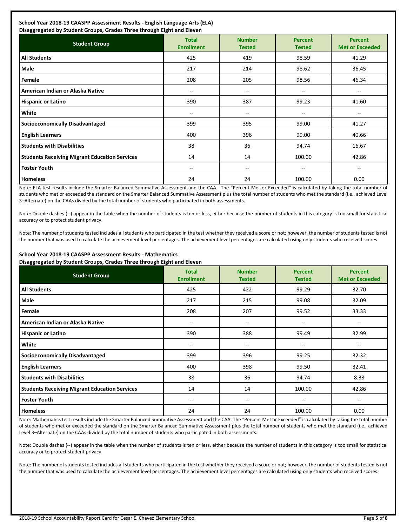## **School Year 2018-19 CAASPP Assessment Results - English Language Arts (ELA)**

| Disaggregated by Student Groups, Grades Three through Eight and Eleven |                                   |                                |                                 |                                          |  |  |  |
|------------------------------------------------------------------------|-----------------------------------|--------------------------------|---------------------------------|------------------------------------------|--|--|--|
| <b>Student Group</b>                                                   | <b>Total</b><br><b>Enrollment</b> | <b>Number</b><br><b>Tested</b> | <b>Percent</b><br><b>Tested</b> | <b>Percent</b><br><b>Met or Exceeded</b> |  |  |  |
| <b>All Students</b>                                                    | 425                               | 419                            | 98.59                           | 41.29                                    |  |  |  |
| <b>Male</b>                                                            | 217                               | 214                            | 98.62                           | 36.45                                    |  |  |  |
| Female                                                                 | 208                               | 205                            | 98.56                           | 46.34                                    |  |  |  |
| American Indian or Alaska Native                                       | $\sim$                            | --                             | --                              | $\overline{\phantom{a}}$                 |  |  |  |
| <b>Hispanic or Latino</b>                                              | 390                               | 387                            | 99.23                           | 41.60                                    |  |  |  |
| White                                                                  | $-$                               | $- -$                          | --                              | --                                       |  |  |  |
| <b>Socioeconomically Disadvantaged</b>                                 | 399                               | 395                            | 99.00                           | 41.27                                    |  |  |  |
| <b>English Learners</b>                                                | 400                               | 396                            | 99.00                           | 40.66                                    |  |  |  |
| <b>Students with Disabilities</b>                                      | 38                                | 36                             | 94.74                           | 16.67                                    |  |  |  |
| <b>Students Receiving Migrant Education Services</b>                   | 14                                | 14                             | 100.00                          | 42.86                                    |  |  |  |
| <b>Foster Youth</b>                                                    | $\sim$                            | $-$                            | $- -$                           | $\overline{\phantom{a}}$                 |  |  |  |
| <b>Homeless</b>                                                        | 24                                | 24                             | 100.00                          | 0.00                                     |  |  |  |

Note: ELA test results include the Smarter Balanced Summative Assessment and the CAA. The "Percent Met or Exceeded" is calculated by taking the total number of students who met or exceeded the standard on the Smarter Balanced Summative Assessment plus the total number of students who met the standard (i.e., achieved Level 3–Alternate) on the CAAs divided by the total number of students who participated in both assessments.

Note: Double dashes (--) appear in the table when the number of students is ten or less, either because the number of students in this category is too small for statistical accuracy or to protect student privacy.

Note: The number of students tested includes all students who participated in the test whether they received a score or not; however, the number of students tested is not the number that was used to calculate the achievement level percentages. The achievement level percentages are calculated using only students who received scores.

### **School Year 2018-19 CAASPP Assessment Results - Mathematics Disaggregated by Student Groups, Grades Three through Eight and Eleven**

| <b>Student Group</b>                                 | <b>Total</b><br><b>Enrollment</b> | <b>Number</b><br><b>Tested</b> | <b>Percent</b><br><b>Tested</b> | <b>Percent</b><br><b>Met or Exceeded</b> |
|------------------------------------------------------|-----------------------------------|--------------------------------|---------------------------------|------------------------------------------|
| <b>All Students</b>                                  | 425                               | 422                            | 99.29                           | 32.70                                    |
| <b>Male</b>                                          | 217                               | 215                            | 99.08                           | 32.09                                    |
| Female                                               | 208                               | 207                            | 99.52                           | 33.33                                    |
| American Indian or Alaska Native                     | --                                | $- -$                          | --                              | --                                       |
| <b>Hispanic or Latino</b>                            | 390                               | 388                            | 99.49                           | 32.99                                    |
| White                                                | $- -$                             | --                             | $- -$                           | $- -$                                    |
| <b>Socioeconomically Disadvantaged</b>               | 399                               | 396                            | 99.25                           | 32.32                                    |
| <b>English Learners</b>                              | 400                               | 398                            | 99.50                           | 32.41                                    |
| <b>Students with Disabilities</b>                    | 38                                | 36                             | 94.74                           | 8.33                                     |
| <b>Students Receiving Migrant Education Services</b> | 14                                | 14                             | 100.00                          | 42.86                                    |
| <b>Foster Youth</b>                                  | $- -$                             | $- -$                          | --                              | --                                       |
| <b>Homeless</b>                                      | 24                                | 24                             | 100.00                          | 0.00                                     |

Note: Mathematics test results include the Smarter Balanced Summative Assessment and the CAA. The "Percent Met or Exceeded" is calculated by taking the total number of students who met or exceeded the standard on the Smarter Balanced Summative Assessment plus the total number of students who met the standard (i.e., achieved Level 3–Alternate) on the CAAs divided by the total number of students who participated in both assessments.

Note: Double dashes (--) appear in the table when the number of students is ten or less, either because the number of students in this category is too small for statistical accuracy or to protect student privacy.

Note: The number of students tested includes all students who participated in the test whether they received a score or not; however, the number of students tested is not the number that was used to calculate the achievement level percentages. The achievement level percentages are calculated using only students who received scores.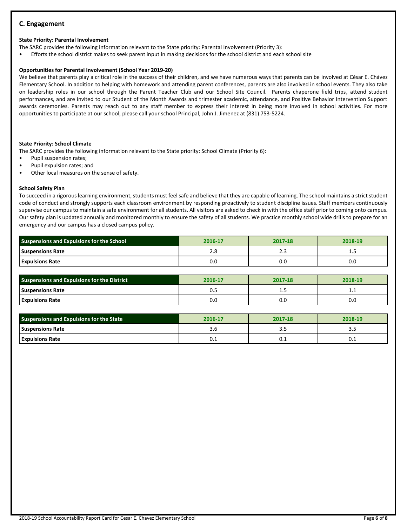## **C. Engagement**

### **State Priority: Parental Involvement**

The SARC provides the following information relevant to the State priority: Parental Involvement (Priority 3):

• Efforts the school district makes to seek parent input in making decisions for the school district and each school site

### **Opportunities for Parental Involvement (School Year 2019-20)**

We believe that parents play a critical role in the success of their children, and we have numerous ways that parents can be involved at César E. Chávez Elementary School. In addition to helping with homework and attending parent conferences, parents are also involved in school events. They also take on leadership roles in our school through the Parent Teacher Club and our School Site Council. Parents chaperone field trips, attend student performances, and are invited to our Student of the Month Awards and trimester academic, attendance, and Positive Behavior Intervention Support awards ceremonies. Parents may reach out to any staff member to express their interest in being more involved in school activities. For more opportunities to participate at our school, please call your school Principal, John J. Jimenez at (831) 753-5224.

### **State Priority: School Climate**

The SARC provides the following information relevant to the State priority: School Climate (Priority 6):

- Pupil suspension rates;
- Pupil expulsion rates; and
- Other local measures on the sense of safety.

### **School Safety Plan**

To succeed in a rigorous learning environment, students must feel safe and believe that they are capable of learning. The school maintains a strict student code of conduct and strongly supports each classroom environment by responding proactively to student discipline issues. Staff members continuously supervise our campus to maintain a safe environment for all students. All visitors are asked to check in with the office staff prior to coming onto campus. Our safety plan is updated annually and monitored monthly to ensure the safety of all students. We practice monthly school wide drills to prepare for an emergency and our campus has a closed campus policy.

| <b>Suspensions and Expulsions for the School</b> | 2016-17 | 2017-18 | 2018-19 |
|--------------------------------------------------|---------|---------|---------|
| <b>Suspensions Rate</b>                          | 2.0     | د . ک   | <b></b> |
| <b>Expulsions Rate</b>                           | 0.C     | U.U     | 0.0     |

| <b>Suspensions and Expulsions for the District</b> | 2016-17 | 2017-18 | 2018-19 |
|----------------------------------------------------|---------|---------|---------|
| <b>Suspensions Rate</b>                            | U.J     | 1.3     | ᆠᆞ      |
| <b>Expulsions Rate</b>                             | 0.0     | 0.0     | 0.0     |

| <b>Suspensions and Expulsions for the State</b> | 2016-17 | 2017-18 | 2018-19 |
|-------------------------------------------------|---------|---------|---------|
| <b>Suspensions Rate</b>                         | 3.C     | כ.כ     |         |
| <b>Expulsions Rate</b>                          | ∪.⊥     | ∪.⊥     | ∪.⊥     |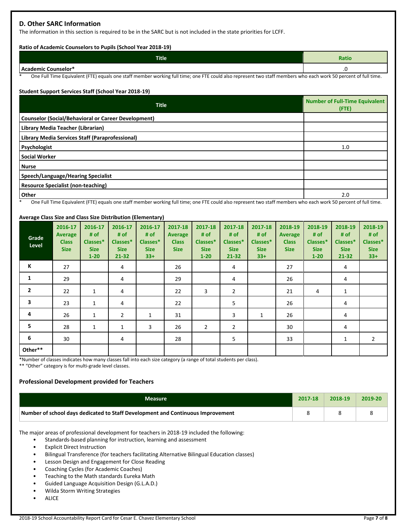## **D. Other SARC Information**

The information in this section is required to be in the SARC but is not included in the state priorities for LCFF.

### **Ratio of Academic Counselors to Pupils (School Year 2018-19)**

| <b>Title</b>        | <b>Ratio</b> |
|---------------------|--------------|
| Academic Counselor* | ں.           |

One Full Time Equivalent (FTE) equals one staff member working full time; one FTE could also represent two staff members who each work 50 percent of full time.

### **Student Support Services Staff (School Year 2018-19)**

| <b>Title</b>                                                                                                                                                     | <b>Number of Full-Time Equivalent</b><br>$($ FTE $)$ |
|------------------------------------------------------------------------------------------------------------------------------------------------------------------|------------------------------------------------------|
| <b>Counselor (Social/Behavioral or Career Development)</b>                                                                                                       |                                                      |
| Library Media Teacher (Librarian)                                                                                                                                |                                                      |
| Library Media Services Staff (Paraprofessional)                                                                                                                  |                                                      |
| Psychologist                                                                                                                                                     | 1.0                                                  |
| <b>Social Worker</b>                                                                                                                                             |                                                      |
| <b>Nurse</b>                                                                                                                                                     |                                                      |
| Speech/Language/Hearing Specialist                                                                                                                               |                                                      |
| <b>Resource Specialist (non-teaching)</b>                                                                                                                        |                                                      |
| Other<br>One Full Time Funding Life (FTF) equals and define makes undifficient difficult also incontracted the staff members under under the Union of Cill time. | 2.0                                                  |

One Full Time Equivalent (FTE) equals one staff member working full time; one FTE could also represent two staff members who each work 50 percent of full time.

### **Average Class Size and Class Size Distribution (Elementary)**

| Grade<br>Level | 2016-17<br><b>Average</b><br><b>Class</b><br><b>Size</b> | 2016-17<br># of<br>Classes*<br><b>Size</b><br>$1 - 20$ | 2016-17<br># $of$<br>Classes*<br><b>Size</b><br>$21 - 32$ | 2016-17<br># of<br>Classes*<br><b>Size</b><br>$33+$ | 2017-18<br>Average<br><b>Class</b><br><b>Size</b> | 2017-18<br># of<br>Classes*<br><b>Size</b><br>$1 - 20$ | 2017-18<br># of<br>Classes*<br><b>Size</b><br>$21 - 32$ | 2017-18<br># of<br>Classes*<br><b>Size</b><br>$33+$ | 2018-19<br>Average<br><b>Class</b><br><b>Size</b> | 2018-19<br># of<br>Classes*<br><b>Size</b><br>$1 - 20$ | 2018-19<br># of<br>Classes*<br><b>Size</b><br>$21 - 32$ | 2018-19<br># of<br>Classes*<br><b>Size</b><br>$33+$ |
|----------------|----------------------------------------------------------|--------------------------------------------------------|-----------------------------------------------------------|-----------------------------------------------------|---------------------------------------------------|--------------------------------------------------------|---------------------------------------------------------|-----------------------------------------------------|---------------------------------------------------|--------------------------------------------------------|---------------------------------------------------------|-----------------------------------------------------|
| Κ              | 27                                                       |                                                        | 4                                                         |                                                     | 26                                                |                                                        | 4                                                       |                                                     | 27                                                |                                                        | 4                                                       |                                                     |
| 1              | 29                                                       |                                                        | 4                                                         |                                                     | 29                                                |                                                        | 4                                                       |                                                     | 26                                                |                                                        | 4                                                       |                                                     |
| $\overline{2}$ | 22                                                       | $\mathbf{1}$                                           | 4                                                         |                                                     | 22                                                | 3                                                      | 2                                                       |                                                     | 21                                                | 4                                                      | 1                                                       |                                                     |
| 3              | 23                                                       | $\mathbf{1}$                                           | 4                                                         |                                                     | 22                                                |                                                        | 5                                                       |                                                     | 26                                                |                                                        | 4                                                       |                                                     |
| 4              | 26                                                       | 1                                                      | $\overline{2}$                                            | 1                                                   | 31                                                |                                                        | 3                                                       | 1                                                   | 26                                                |                                                        | 4                                                       |                                                     |
| 5              | 28                                                       | $\mathbf{1}$                                           | 1                                                         | 3                                                   | 26                                                | $\overline{2}$                                         | 2                                                       |                                                     | 30                                                |                                                        | 4                                                       |                                                     |
| 6              | 30                                                       |                                                        | 4                                                         |                                                     | 28                                                |                                                        | 5                                                       |                                                     | 33                                                |                                                        | 1                                                       | 2                                                   |
| Other**        |                                                          |                                                        |                                                           |                                                     |                                                   |                                                        |                                                         |                                                     |                                                   |                                                        |                                                         |                                                     |

\*Number of classes indicates how many classes fall into each size category (a range of total students per class).

\*\* "Other" category is for multi-grade level classes.

## **Professional Development provided for Teachers**

| Measure                                                                         | 2017-18 | 2018-19 | 2019-20 |
|---------------------------------------------------------------------------------|---------|---------|---------|
| Number of school days dedicated to Staff Development and Continuous Improvement |         |         |         |

The major areas of professional development for teachers in 2018-19 included the following:

- Standards-based planning for instruction, learning and assessment
- **Explicit Direct Instruction**
- Bilingual Transference (for teachers facilitating Alternative Bilingual Education classes)
- Lesson Design and Engagement for Close Reading
- Coaching Cycles (for Academic Coaches)
- Teaching to the Math standards Eureka Math
- Guided Language Acquisition Design (G.L.A.D.)
- Wilda Storm Writing Strategies
- **ALICE**